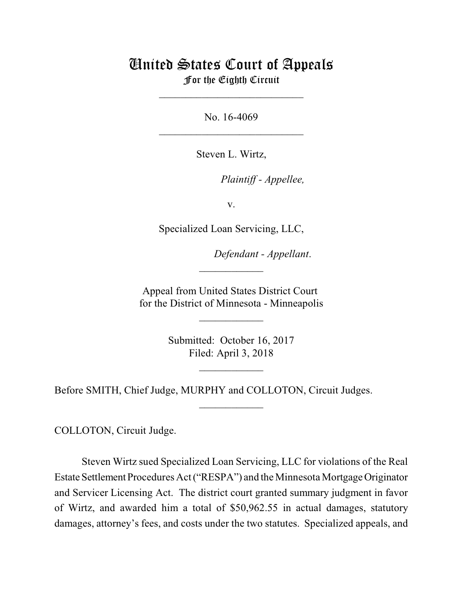# United States Court of Appeals For the Eighth Circuit

\_\_\_\_\_\_\_\_\_\_\_\_\_\_\_\_\_\_\_\_\_\_\_\_\_\_\_

No. 16-4069  $\mathcal{L}_\text{max}$  , which is a set of the set of the set of the set of the set of the set of the set of the set of the set of the set of the set of the set of the set of the set of the set of the set of the set of the set of

Steven L. Wirtz,

*Plaintiff - Appellee,* 

v.

Specialized Loan Servicing, LLC,

Defendant - Appellant.

Appeal from United States District Court for the District of Minnesota - Minneapolis

 $\overline{\phantom{a}}$  , where  $\overline{\phantom{a}}$ 

 $\frac{1}{2}$ 

Submitted: October 16, 2017 Filed: April 3, 2018

 $\frac{1}{2}$ 

 $\overline{\phantom{a}}$  , where  $\overline{\phantom{a}}$ 

Before SMITH, Chief Judge, MURPHY and COLLOTON, Circuit Judges.

COLLOTON, Circuit Judge.

Steven Wirtz sued Specialized Loan Servicing, LLC for violations of the Real Estate Settlement Procedures Act ("RESPA") and the Minnesota Mortgage Originator and Servicer Licensing Act. The district court granted summary judgment in favor of Wirtz, and awarded him a total of \$50,962.55 in actual damages, statutory damages, attorney's fees, and costs under the two statutes. Specialized appeals, and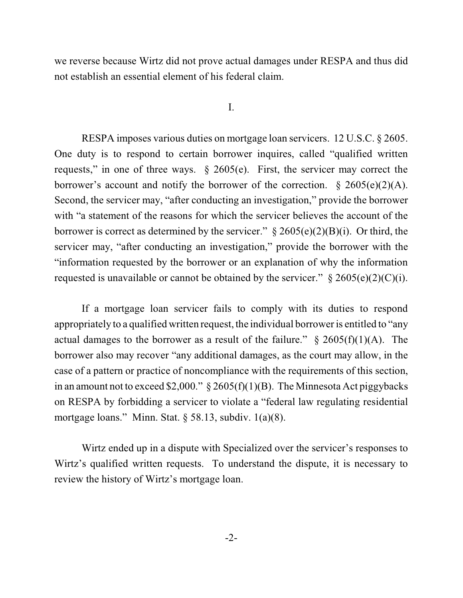we reverse because Wirtz did not prove actual damages under RESPA and thus did not establish an essential element of his federal claim.

## I.

RESPA imposes various duties on mortgage loan servicers. 12 U.S.C. § 2605. One duty is to respond to certain borrower inquires, called "qualified written requests," in one of three ways. § 2605(e). First, the servicer may correct the borrower's account and notify the borrower of the correction.  $\S$  2605(e)(2)(A). Second, the servicer may, "after conducting an investigation," provide the borrower with "a statement of the reasons for which the servicer believes the account of the borrower is correct as determined by the servicer."  $\S 2605(e)(2)(B)(i)$ . Or third, the servicer may, "after conducting an investigation," provide the borrower with the "information requested by the borrower or an explanation of why the information requested is unavailable or cannot be obtained by the servicer."  $\S 2605(e)(2)(C)(i)$ .

If a mortgage loan servicer fails to comply with its duties to respond appropriately to a qualified written request, the individual borrower is entitled to "any actual damages to the borrower as a result of the failure."  $\S$  2605(f)(1)(A). The borrower also may recover "any additional damages, as the court may allow, in the case of a pattern or practice of noncompliance with the requirements of this section, in an amount not to exceed \$2,000."  $\S 2605(f)(1)(B)$ . The Minnesota Act piggybacks on RESPA by forbidding a servicer to violate a "federal law regulating residential mortgage loans." Minn. Stat. § 58.13, subdiv. 1(a)(8).

Wirtz ended up in a dispute with Specialized over the servicer's responses to Wirtz's qualified written requests. To understand the dispute, it is necessary to review the history of Wirtz's mortgage loan.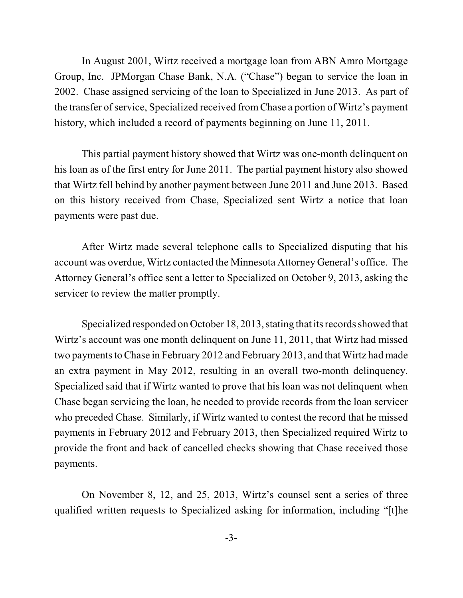In August 2001, Wirtz received a mortgage loan from ABN Amro Mortgage Group, Inc. JPMorgan Chase Bank, N.A. ("Chase") began to service the loan in 2002. Chase assigned servicing of the loan to Specialized in June 2013. As part of the transfer of service, Specialized received from Chase a portion of Wirtz's payment history, which included a record of payments beginning on June 11, 2011.

This partial payment history showed that Wirtz was one-month delinquent on his loan as of the first entry for June 2011. The partial payment history also showed that Wirtz fell behind by another payment between June 2011 and June 2013. Based on this history received from Chase, Specialized sent Wirtz a notice that loan payments were past due.

After Wirtz made several telephone calls to Specialized disputing that his account was overdue, Wirtz contacted the Minnesota Attorney General's office. The Attorney General's office sent a letter to Specialized on October 9, 2013, asking the servicer to review the matter promptly.

Specialized responded on October 18, 2013, stating that its records showed that Wirtz's account was one month delinquent on June 11, 2011, that Wirtz had missed two payments to Chase in February 2012 and February 2013, and that Wirtz had made an extra payment in May 2012, resulting in an overall two-month delinquency. Specialized said that if Wirtz wanted to prove that his loan was not delinquent when Chase began servicing the loan, he needed to provide records from the loan servicer who preceded Chase. Similarly, if Wirtz wanted to contest the record that he missed payments in February 2012 and February 2013, then Specialized required Wirtz to provide the front and back of cancelled checks showing that Chase received those payments.

On November 8, 12, and 25, 2013, Wirtz's counsel sent a series of three qualified written requests to Specialized asking for information, including "[t]he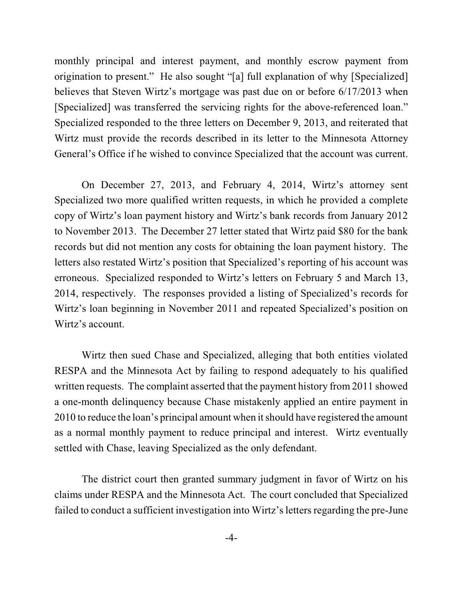monthly principal and interest payment, and monthly escrow payment from origination to present." He also sought "[a] full explanation of why [Specialized] believes that Steven Wirtz's mortgage was past due on or before 6/17/2013 when [Specialized] was transferred the servicing rights for the above-referenced loan." Specialized responded to the three letters on December 9, 2013, and reiterated that Wirtz must provide the records described in its letter to the Minnesota Attorney General's Office if he wished to convince Specialized that the account was current.

On December 27, 2013, and February 4, 2014, Wirtz's attorney sent Specialized two more qualified written requests, in which he provided a complete copy of Wirtz's loan payment history and Wirtz's bank records from January 2012 to November 2013. The December 27 letter stated that Wirtz paid \$80 for the bank records but did not mention any costs for obtaining the loan payment history. The letters also restated Wirtz's position that Specialized's reporting of his account was erroneous. Specialized responded to Wirtz's letters on February 5 and March 13, 2014, respectively. The responses provided a listing of Specialized's records for Wirtz's loan beginning in November 2011 and repeated Specialized's position on Wirtz's account.

Wirtz then sued Chase and Specialized, alleging that both entities violated RESPA and the Minnesota Act by failing to respond adequately to his qualified written requests. The complaint asserted that the payment history from 2011 showed a one-month delinquency because Chase mistakenly applied an entire payment in 2010 to reduce the loan's principal amount when it should have registered the amount as a normal monthly payment to reduce principal and interest. Wirtz eventually settled with Chase, leaving Specialized as the only defendant.

The district court then granted summary judgment in favor of Wirtz on his claims under RESPA and the Minnesota Act. The court concluded that Specialized failed to conduct a sufficient investigation into Wirtz's letters regarding the pre-June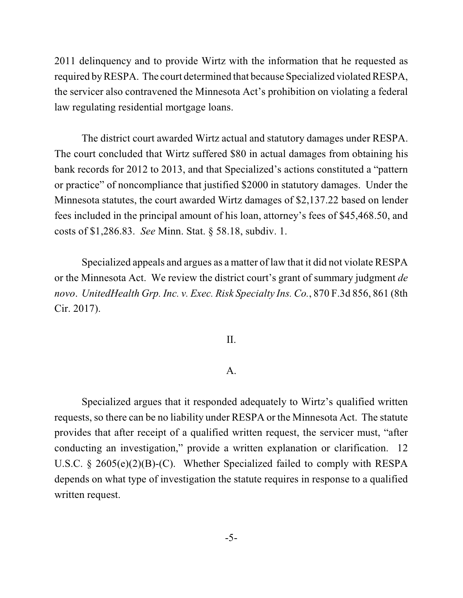2011 delinquency and to provide Wirtz with the information that he requested as required by RESPA. The court determined that because Specialized violated RESPA, the servicer also contravened the Minnesota Act's prohibition on violating a federal law regulating residential mortgage loans.

The district court awarded Wirtz actual and statutory damages under RESPA. The court concluded that Wirtz suffered \$80 in actual damages from obtaining his bank records for 2012 to 2013, and that Specialized's actions constituted a "pattern or practice" of noncompliance that justified \$2000 in statutory damages. Under the Minnesota statutes, the court awarded Wirtz damages of \$2,137.22 based on lender fees included in the principal amount of his loan, attorney's fees of \$45,468.50, and costs of \$1,286.83. *See* Minn. Stat. § 58.18, subdiv. 1.

Specialized appeals and argues as a matter of law that it did not violate RESPA or the Minnesota Act. We review the district court's grant of summary judgment *de novo*. *UnitedHealth Grp. Inc. v. Exec. Risk Specialty Ins. Co.*, 870 F.3d 856, 861 (8th Cir. 2017).

## II.

## A.

Specialized argues that it responded adequately to Wirtz's qualified written requests, so there can be no liability under RESPA or the Minnesota Act. The statute provides that after receipt of a qualified written request, the servicer must, "after conducting an investigation," provide a written explanation or clarification. 12 U.S.C. § 2605(e)(2)(B)-(C). Whether Specialized failed to comply with RESPA depends on what type of investigation the statute requires in response to a qualified written request.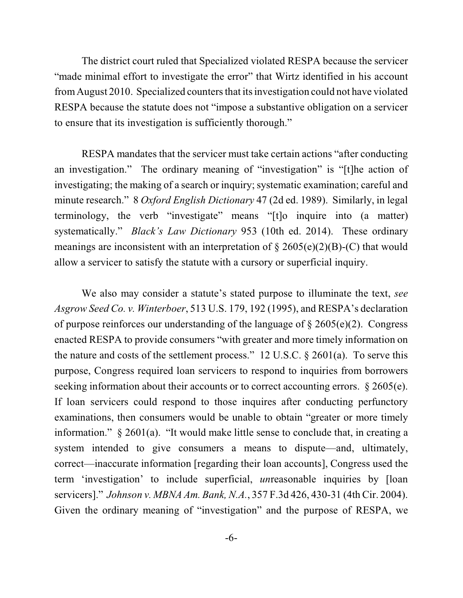The district court ruled that Specialized violated RESPA because the servicer "made minimal effort to investigate the error" that Wirtz identified in his account fromAugust 2010. Specialized countersthat its investigation could not have violated RESPA because the statute does not "impose a substantive obligation on a servicer to ensure that its investigation is sufficiently thorough."

RESPA mandates that the servicer must take certain actions "after conducting an investigation." The ordinary meaning of "investigation" is "[t]he action of investigating; the making of a search or inquiry; systematic examination; careful and minute research." 8 *Oxford English Dictionary* 47 (2d ed. 1989). Similarly, in legal terminology, the verb "investigate" means "[t]o inquire into (a matter) systematically." *Black's Law Dictionary* 953 (10th ed. 2014). These ordinary meanings are inconsistent with an interpretation of  $\S 2605(e)(2)(B)-(C)$  that would allow a servicer to satisfy the statute with a cursory or superficial inquiry.

We also may consider a statute's stated purpose to illuminate the text, *see Asgrow Seed Co. v. Winterboer*, 513 U.S. 179, 192 (1995), and RESPA's declaration of purpose reinforces our understanding of the language of  $\S 2605(e)(2)$ . Congress enacted RESPA to provide consumers "with greater and more timely information on the nature and costs of the settlement process." 12 U.S.C. § 2601(a). To serve this purpose, Congress required loan servicers to respond to inquiries from borrowers seeking information about their accounts or to correct accounting errors.  $\S 2605(e)$ . If loan servicers could respond to those inquires after conducting perfunctory examinations, then consumers would be unable to obtain "greater or more timely information." § 2601(a). "It would make little sense to conclude that, in creating a system intended to give consumers a means to dispute—and, ultimately, correct—inaccurate information [regarding their loan accounts], Congress used the term 'investigation' to include superficial, *un*reasonable inquiries by [loan servicers]." *Johnson v. MBNA Am. Bank, N.A.*, 357 F.3d 426, 430-31 (4th Cir. 2004). Given the ordinary meaning of "investigation" and the purpose of RESPA, we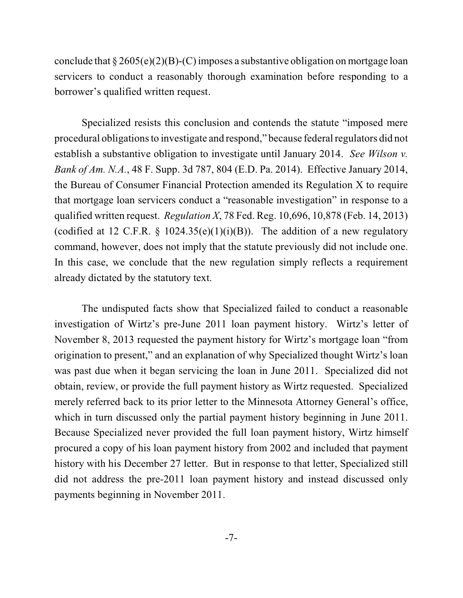conclude that  $\S 2605(e)(2)(B)-(C)$  imposes a substantive obligation on mortgage loan servicers to conduct a reasonably thorough examination before responding to a borrower's qualified written request.

Specialized resists this conclusion and contends the statute "imposed mere procedural obligations to investigate and respond," because federal regulators did not establish a substantive obligation to investigate until January 2014. *See Wilson v. Bank of Am. N.A.*, 48 F. Supp. 3d 787, 804 (E.D. Pa. 2014). Effective January 2014, the Bureau of Consumer Financial Protection amended its Regulation X to require that mortgage loan servicers conduct a "reasonable investigation" in response to a qualified written request. *Regulation X*, 78 Fed. Reg. 10,696, 10,878 (Feb. 14, 2013) (codified at 12 C.F.R. § 1024.35(e)(1)(i)(B)). The addition of a new regulatory command, however, does not imply that the statute previously did not include one. In this case, we conclude that the new regulation simply reflects a requirement already dictated by the statutory text.

The undisputed facts show that Specialized failed to conduct a reasonable investigation of Wirtz's pre-June 2011 loan payment history. Wirtz's letter of November 8, 2013 requested the payment history for Wirtz's mortgage loan "from origination to present," and an explanation of why Specialized thought Wirtz's loan was past due when it began servicing the loan in June 2011. Specialized did not obtain, review, or provide the full payment history as Wirtz requested. Specialized merely referred back to its prior letter to the Minnesota Attorney General's office, which in turn discussed only the partial payment history beginning in June 2011. Because Specialized never provided the full loan payment history, Wirtz himself procured a copy of his loan payment history from 2002 and included that payment history with his December 27 letter. But in response to that letter, Specialized still did not address the pre-2011 loan payment history and instead discussed only payments beginning in November 2011.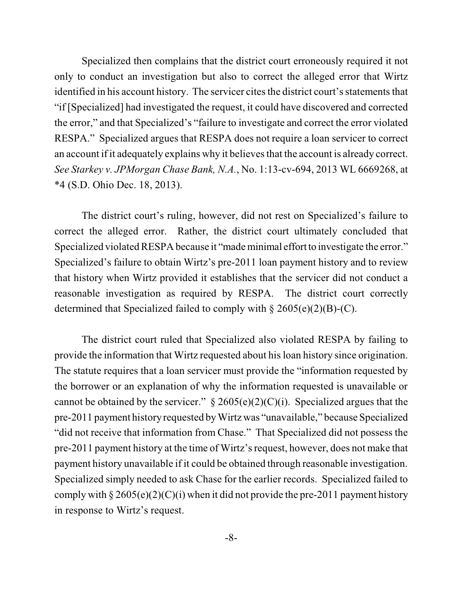Specialized then complains that the district court erroneously required it not only to conduct an investigation but also to correct the alleged error that Wirtz identified in his account history. The servicer cites the district court's statements that "if [Specialized] had investigated the request, it could have discovered and corrected the error," and that Specialized's "failure to investigate and correct the error violated RESPA." Specialized argues that RESPA does not require a loan servicer to correct an account if it adequately explains why it believes that the account is already correct. *See Starkey v. JPMorgan Chase Bank, N.A.*, No. 1:13-cv-694, 2013 WL 6669268, at \*4 (S.D. Ohio Dec. 18, 2013).

The district court's ruling, however, did not rest on Specialized's failure to correct the alleged error. Rather, the district court ultimately concluded that Specialized violated RESPA because it "made minimal effort to investigate the error." Specialized's failure to obtain Wirtz's pre-2011 loan payment history and to review that history when Wirtz provided it establishes that the servicer did not conduct a reasonable investigation as required by RESPA. The district court correctly determined that Specialized failed to comply with  $\S 2605(e)(2)(B)-(C)$ .

The district court ruled that Specialized also violated RESPA by failing to provide the information that Wirtz requested about his loan history since origination. The statute requires that a loan servicer must provide the "information requested by the borrower or an explanation of why the information requested is unavailable or cannot be obtained by the servicer."  $\S 2605(e)(2)(C)(i)$ . Specialized argues that the pre-2011 payment history requested by Wirtz was "unavailable," because Specialized "did not receive that information from Chase." That Specialized did not possess the pre-2011 payment history at the time of Wirtz's request, however, does not make that payment history unavailable if it could be obtained through reasonable investigation. Specialized simply needed to ask Chase for the earlier records. Specialized failed to comply with  $\S 2605(e)(2)(C)(i)$  when it did not provide the pre-2011 payment history in response to Wirtz's request.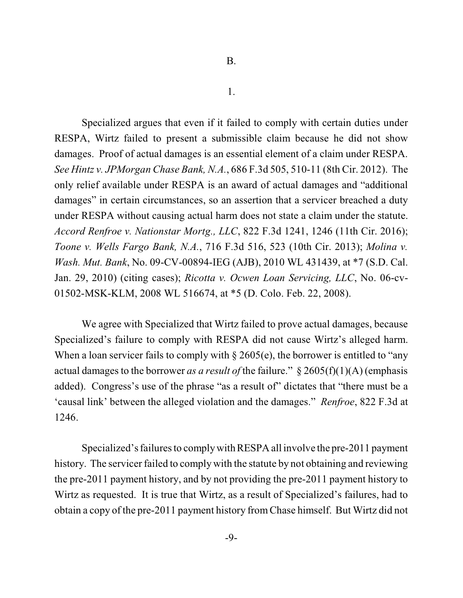1.

Specialized argues that even if it failed to comply with certain duties under RESPA, Wirtz failed to present a submissible claim because he did not show damages. Proof of actual damages is an essential element of a claim under RESPA. *See Hintz v. JPMorgan Chase Bank, N.A.*, 686 F.3d 505, 510-11 (8th Cir. 2012). The only relief available under RESPA is an award of actual damages and "additional damages" in certain circumstances, so an assertion that a servicer breached a duty under RESPA without causing actual harm does not state a claim under the statute. *Accord Renfroe v. Nationstar Mortg., LLC*, 822 F.3d 1241, 1246 (11th Cir. 2016); *Toone v. Wells Fargo Bank, N.A.*, 716 F.3d 516, 523 (10th Cir. 2013); *Molina v. Wash. Mut. Bank*, No. 09-CV-00894-IEG (AJB), 2010 WL 431439, at \*7 (S.D. Cal. Jan. 29, 2010) (citing cases); *Ricotta v. Ocwen Loan Servicing, LLC*, No. 06-cv-01502-MSK-KLM, 2008 WL 516674, at \*5 (D. Colo. Feb. 22, 2008).

We agree with Specialized that Wirtz failed to prove actual damages, because Specialized's failure to comply with RESPA did not cause Wirtz's alleged harm. When a loan servicer fails to comply with  $\S 2605(e)$ , the borrower is entitled to "any" actual damages to the borrower *as a result of* the failure."  $\S 2605(f)(1)(A)$  (emphasis added). Congress's use of the phrase "as a result of" dictates that "there must be a 'causal link' between the alleged violation and the damages." *Renfroe*, 822 F.3d at 1246.

Specialized's failures to comply with RESPA all involve the pre-2011 payment history. The servicer failed to comply with the statute by not obtaining and reviewing the pre-2011 payment history, and by not providing the pre-2011 payment history to Wirtz as requested. It is true that Wirtz, as a result of Specialized's failures, had to obtain a copy of the pre-2011 payment history fromChase himself. But Wirtz did not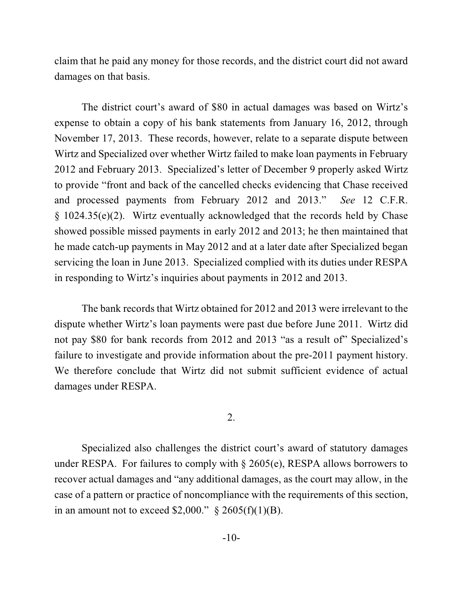claim that he paid any money for those records, and the district court did not award damages on that basis.

The district court's award of \$80 in actual damages was based on Wirtz's expense to obtain a copy of his bank statements from January 16, 2012, through November 17, 2013. These records, however, relate to a separate dispute between Wirtz and Specialized over whether Wirtz failed to make loan payments in February 2012 and February 2013. Specialized's letter of December 9 properly asked Wirtz to provide "front and back of the cancelled checks evidencing that Chase received and processed payments from February 2012 and 2013." *See* 12 C.F.R. § 1024.35(e)(2). Wirtz eventually acknowledged that the records held by Chase showed possible missed payments in early 2012 and 2013; he then maintained that he made catch-up payments in May 2012 and at a later date after Specialized began servicing the loan in June 2013. Specialized complied with its duties under RESPA in responding to Wirtz's inquiries about payments in 2012 and 2013.

The bank records that Wirtz obtained for 2012 and 2013 were irrelevant to the dispute whether Wirtz's loan payments were past due before June 2011. Wirtz did not pay \$80 for bank records from 2012 and 2013 "as a result of" Specialized's failure to investigate and provide information about the pre-2011 payment history. We therefore conclude that Wirtz did not submit sufficient evidence of actual damages under RESPA.

## 2.

Specialized also challenges the district court's award of statutory damages under RESPA. For failures to comply with  $\S$  2605(e), RESPA allows borrowers to recover actual damages and "any additional damages, as the court may allow, in the case of a pattern or practice of noncompliance with the requirements of this section, in an amount not to exceed \$2,000."  $\S 2605(f)(1)(B)$ .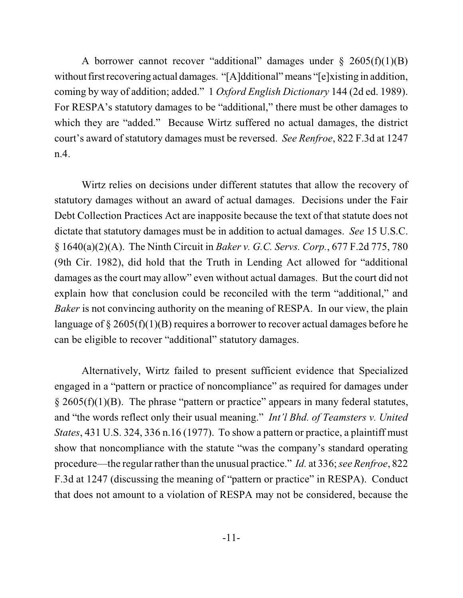A borrower cannot recover "additional" damages under  $\S$  2605(f)(1)(B) without first recovering actual damages. "[A]dditional" means "[e]xisting in addition, coming by way of addition; added." 1 *Oxford English Dictionary* 144 (2d ed. 1989). For RESPA's statutory damages to be "additional," there must be other damages to which they are "added." Because Wirtz suffered no actual damages, the district court's award of statutory damages must be reversed. *See Renfroe*, 822 F.3d at 1247 n.4.

Wirtz relies on decisions under different statutes that allow the recovery of statutory damages without an award of actual damages. Decisions under the Fair Debt Collection Practices Act are inapposite because the text of that statute does not dictate that statutory damages must be in addition to actual damages. *See* 15 U.S.C. § 1640(a)(2)(A). The Ninth Circuit in *Baker v. G.C. Servs. Corp.*, 677 F.2d 775, 780 (9th Cir. 1982), did hold that the Truth in Lending Act allowed for "additional damages as the court may allow" even without actual damages. But the court did not explain how that conclusion could be reconciled with the term "additional," and *Baker* is not convincing authority on the meaning of RESPA. In our view, the plain language of  $\S 2605(f)(1)(B)$  requires a borrower to recover actual damages before he can be eligible to recover "additional" statutory damages.

Alternatively, Wirtz failed to present sufficient evidence that Specialized engaged in a "pattern or practice of noncompliance" as required for damages under  $\S 2605(f)(1)(B)$ . The phrase "pattern or practice" appears in many federal statutes, and "the words reflect only their usual meaning." *Int'l Bhd. of Teamsters v. United States*, 431 U.S. 324, 336 n.16 (1977). To show a pattern or practice, a plaintiff must show that noncompliance with the statute "was the company's standard operating procedure—the regular rather than the unusual practice." *Id.* at 336;*see Renfroe*, 822 F.3d at 1247 (discussing the meaning of "pattern or practice" in RESPA). Conduct that does not amount to a violation of RESPA may not be considered, because the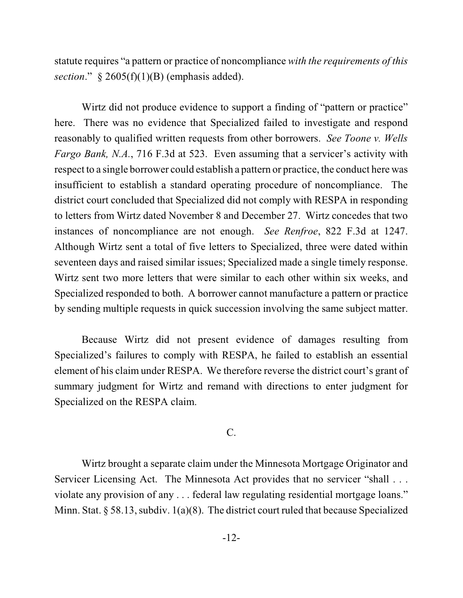statute requires "a pattern or practice of noncompliance *with the requirements of this section*." § 2605(f)(1)(B) (emphasis added).

Wirtz did not produce evidence to support a finding of "pattern or practice" here. There was no evidence that Specialized failed to investigate and respond reasonably to qualified written requests from other borrowers. *See Toone v. Wells Fargo Bank, N.A.*, 716 F.3d at 523. Even assuming that a servicer's activity with respect to a single borrower could establish a pattern or practice, the conduct here was insufficient to establish a standard operating procedure of noncompliance. The district court concluded that Specialized did not comply with RESPA in responding to letters from Wirtz dated November 8 and December 27. Wirtz concedes that two instances of noncompliance are not enough. *See Renfroe*, 822 F.3d at 1247. Although Wirtz sent a total of five letters to Specialized, three were dated within seventeen days and raised similar issues; Specialized made a single timely response. Wirtz sent two more letters that were similar to each other within six weeks, and Specialized responded to both. A borrower cannot manufacture a pattern or practice by sending multiple requests in quick succession involving the same subject matter.

Because Wirtz did not present evidence of damages resulting from Specialized's failures to comply with RESPA, he failed to establish an essential element of his claim under RESPA. We therefore reverse the district court's grant of summary judgment for Wirtz and remand with directions to enter judgment for Specialized on the RESPA claim.

## C.

Wirtz brought a separate claim under the Minnesota Mortgage Originator and Servicer Licensing Act. The Minnesota Act provides that no servicer "shall . . . violate any provision of any . . . federal law regulating residential mortgage loans." Minn. Stat. § 58.13, subdiv. 1(a)(8). The district court ruled that because Specialized